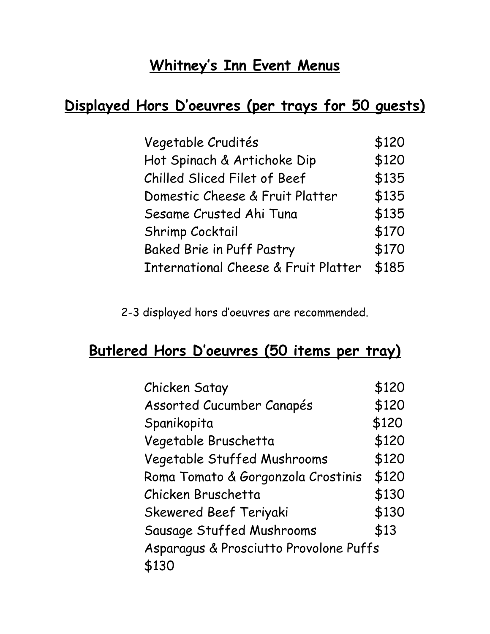# **Whitney's Inn Event Menus**

# **Displayed Hors D'oeuvres (per trays for 50 guests)**

| Vegetable Crudités                              | \$120 |
|-------------------------------------------------|-------|
| Hot Spinach & Artichoke Dip                     | \$120 |
| Chilled Sliced Filet of Beef                    | \$135 |
| Domestic Cheese & Fruit Platter                 | \$135 |
| Sesame Crusted Ahi Tuna                         | \$135 |
| Shrimp Cocktail                                 | \$170 |
| <b>Baked Brie in Puff Pastry</b>                | \$170 |
| <b>International Cheese &amp; Fruit Platter</b> | \$185 |

2-3 displayed hors d'oeuvres are recommended.

# **Butlered Hors D'oeuvres (50 items per tray)**

| Chicken Satay                          | \$120 |
|----------------------------------------|-------|
| Assorted Cucumber Canapés              | \$120 |
| Spanikopita                            | \$120 |
| Vegetable Bruschetta                   | \$120 |
| Vegetable Stuffed Mushrooms            | \$120 |
| Roma Tomato & Gorgonzola Crostinis     | \$120 |
| Chicken Bruschetta                     | \$130 |
| <b>Skewered Beef Teriyaki</b>          | \$130 |
| Sausage Stuffed Mushrooms              | \$13  |
| Asparagus & Prosciutto Provolone Puffs |       |
| \$130                                  |       |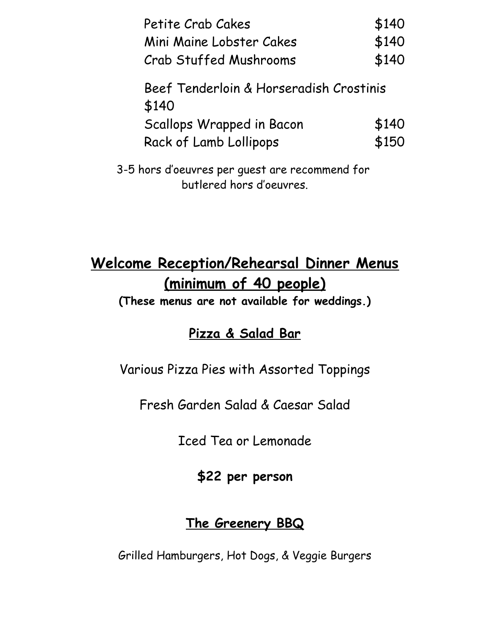| Petite Crab Cakes                                | \$140 |
|--------------------------------------------------|-------|
| Mini Maine Lobster Cakes                         | \$140 |
| <b>Crab Stuffed Mushrooms</b>                    | \$140 |
| Beef Tenderloin & Horseradish Crostinis<br>\$140 |       |
| Scallops Wrapped in Bacon                        | \$140 |
| Rack of Lamb Lollipops                           | \$150 |
|                                                  |       |

3-5 hors d'oeuvres per guest are recommend for butlered hors d'oeuvres.

# **Welcome Reception/Rehearsal Dinner Menus (minimum of 40 people)**

**(These menus are not available for weddings.)**

## **Pizza & Salad Bar**

Various Pizza Pies with Assorted Toppings

Fresh Garden Salad & Caesar Salad

Iced Tea or Lemonade

**\$22 per person**

### **The Greenery BBQ**

Grilled Hamburgers, Hot Dogs, & Veggie Burgers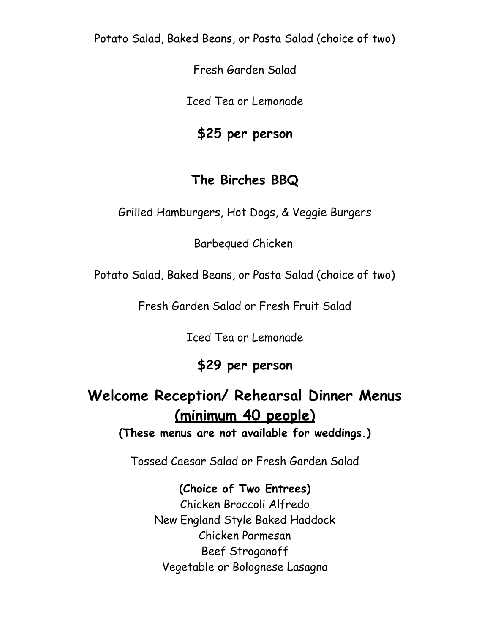Potato Salad, Baked Beans, or Pasta Salad (choice of two)

Fresh Garden Salad

Iced Tea or Lemonade

#### **\$25 per person**

### **The Birches BBQ**

Grilled Hamburgers, Hot Dogs, & Veggie Burgers

Barbequed Chicken

Potato Salad, Baked Beans, or Pasta Salad (choice of two)

Fresh Garden Salad or Fresh Fruit Salad

Iced Tea or Lemonade

## **\$29 per person**

# **Welcome Reception/ Rehearsal Dinner Menus (minimum 40 people)**

**(These menus are not available for weddings.)**

Tossed Caesar Salad or Fresh Garden Salad

**(Choice of Two Entrees)** Chicken Broccoli Alfredo New England Style Baked Haddock Chicken Parmesan Beef Stroganoff Vegetable or Bolognese Lasagna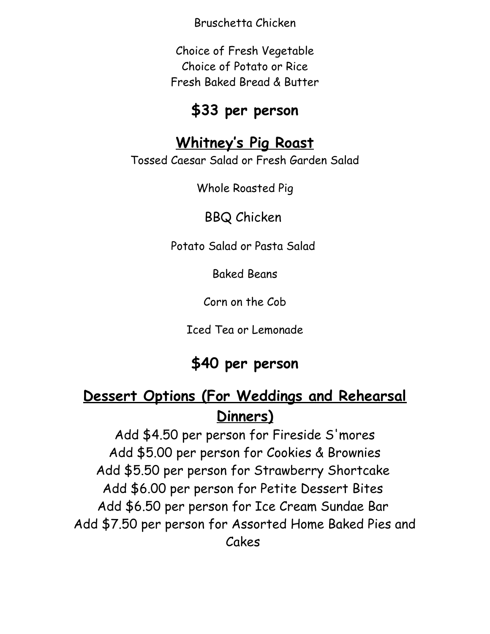Bruschetta Chicken

Choice of Fresh Vegetable Choice of Potato or Rice Fresh Baked Bread & Butter

### **\$33 per person**

### **Whitney's Pig Roast**

Tossed Caesar Salad or Fresh Garden Salad

Whole Roasted Pig

BBQ Chicken

Potato Salad or Pasta Salad

Baked Beans

Corn on the Cob

Iced Tea or Lemonade

# **\$40 per person**

# **Dessert Options (For Weddings and Rehearsal Dinners)**

Add \$4.50 per person for Fireside S'mores Add \$5.00 per person for Cookies & Brownies Add \$5.50 per person for Strawberry Shortcake Add \$6.00 per person for Petite Dessert Bites Add \$6.50 per person for Ice Cream Sundae Bar Add \$7.50 per person for Assorted Home Baked Pies and Cakes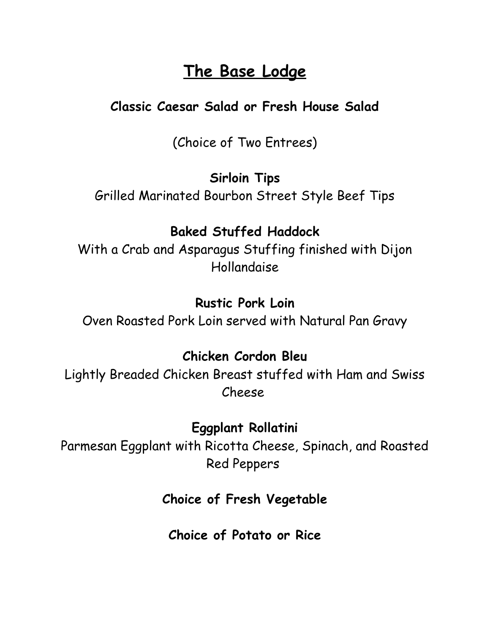# **The Base Lodge**

### **Classic Caesar Salad or Fresh House Salad**

(Choice of Two Entrees)

#### **Sirloin Tips**

Grilled Marinated Bourbon Street Style Beef Tips

### **Baked Stuffed Haddock**

With a Crab and Asparagus Stuffing finished with Dijon Hollandaise

#### **Rustic Pork Loin**

Oven Roasted Pork Loin served with Natural Pan Gravy

#### **Chicken Cordon Bleu**

Lightly Breaded Chicken Breast stuffed with Ham and Swiss Cheese

### **Eggplant Rollatini**

Parmesan Eggplant with Ricotta Cheese, Spinach, and Roasted Red Peppers

### **Choice of Fresh Vegetable**

**Choice of Potato or Rice**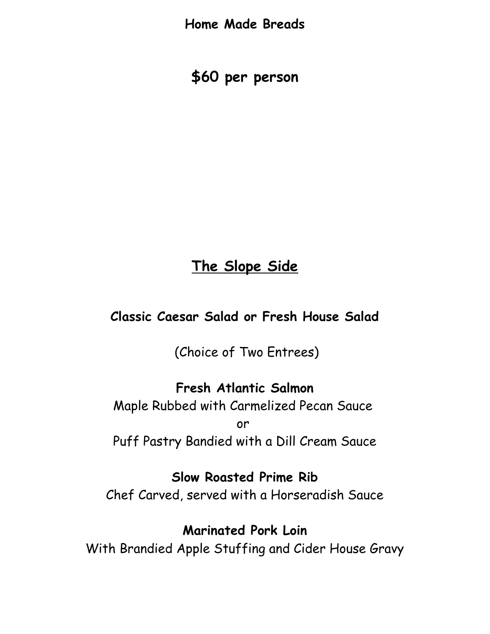**Home Made Breads**

**\$60 per person**

## **The Slope Side**

#### **Classic Caesar Salad or Fresh House Salad**

(Choice of Two Entrees)

### **Fresh Atlantic Salmon**

Maple Rubbed with Carmelized Pecan Sauce or Puff Pastry Bandied with a Dill Cream Sauce

#### **Slow Roasted Prime Rib**

Chef Carved, served with a Horseradish Sauce

#### **Marinated Pork Loin**

With Brandied Apple Stuffing and Cider House Gravy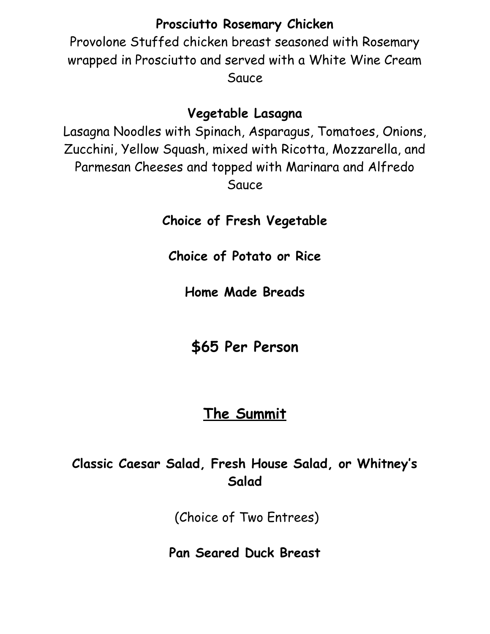#### **Prosciutto Rosemary Chicken**

Provolone Stuffed chicken breast seasoned with Rosemary wrapped in Prosciutto and served with a White Wine Cream Sauce

#### **Vegetable Lasagna**

Lasagna Noodles with Spinach, Asparagus, Tomatoes, Onions, Zucchini, Yellow Squash, mixed with Ricotta, Mozzarella, and Parmesan Cheeses and topped with Marinara and Alfredo Sauce

**Choice of Fresh Vegetable**

**Choice of Potato or Rice**

**Home Made Breads**

**\$65 Per Person**

## **The Summit**

### **Classic Caesar Salad, Fresh House Salad, or Whitney's Salad**

(Choice of Two Entrees)

**Pan Seared Duck Breast**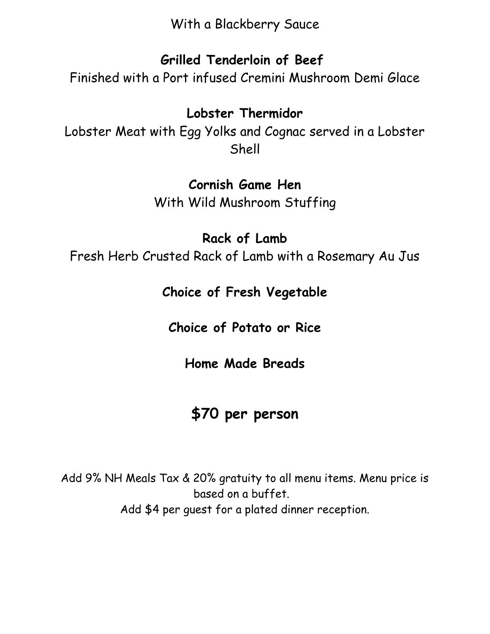With a Blackberry Sauce

### **Grilled Tenderloin of Beef**

Finished with a Port infused Cremini Mushroom Demi Glace

#### **Lobster Thermidor**

Lobster Meat with Egg Yolks and Cognac served in a Lobster Shell

#### **Cornish Game Hen**

With Wild Mushroom Stuffing

### **Rack of Lamb**

Fresh Herb Crusted Rack of Lamb with a Rosemary Au Jus

### **Choice of Fresh Vegetable**

**Choice of Potato or Rice**

### **Home Made Breads**

# **\$70 per person**

Add 9% NH Meals Tax & 20% gratuity to all menu items. Menu price is based on a buffet. Add \$4 per guest for a plated dinner reception.